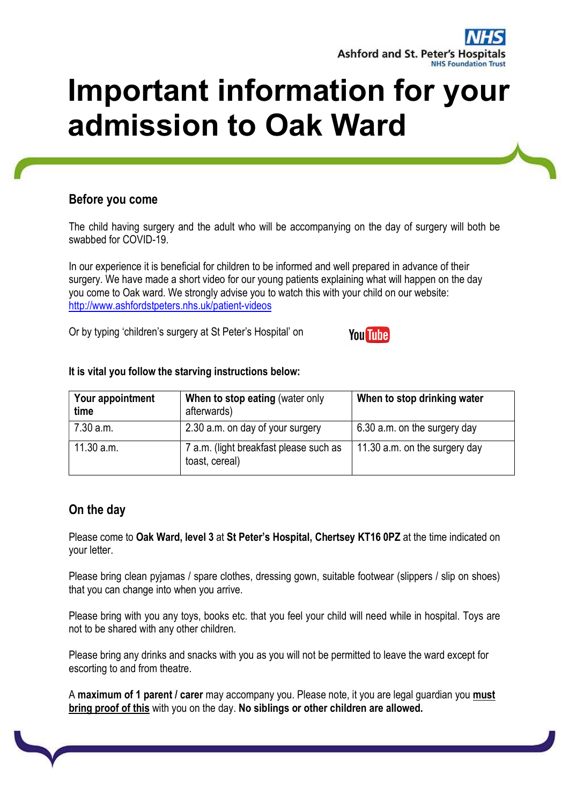

# Important information for your admission to Oak Ward

## Before you come

The child having surgery and the adult who will be accompanying on the day of surgery will both be swabbed for COVID-19.

In our experience it is beneficial for children to be informed and well prepared in advance of their surgery. We have made a short video for our young patients explaining what will happen on the day you come to Oak ward. We strongly advise you to watch this with your child on our website: http://www.ashfordstpeters.nhs.uk/patient-videos

Or by typing 'children's surgery at St Peter's Hospital' on

| Your appointment<br>time | When to stop eating (water only<br>afterwards)           | When to stop drinking water   |
|--------------------------|----------------------------------------------------------|-------------------------------|
| 7.30 a.m.                | 2.30 a.m. on day of your surgery                         | 6.30 a.m. on the surgery day  |
| 11.30 a.m.               | 7 a.m. (light breakfast please such as<br>toast, cereal) | 11.30 a.m. on the surgery day |

**You Tube** 

#### It is vital you follow the starving instructions below:

## On the day

Please come to Oak Ward, level 3 at St Peter's Hospital, Chertsey KT16 0PZ at the time indicated on your letter.

Please bring clean pyjamas / spare clothes, dressing gown, suitable footwear (slippers / slip on shoes) that you can change into when you arrive.

Please bring with you any toys, books etc. that you feel your child will need while in hospital. Toys are not to be shared with any other children.

Please bring any drinks and snacks with you as you will not be permitted to leave the ward except for escorting to and from theatre.

A maximum of 1 parent / carer may accompany you. Please note, it you are legal quardian you must bring proof of this with you on the day. No siblings or other children are allowed.